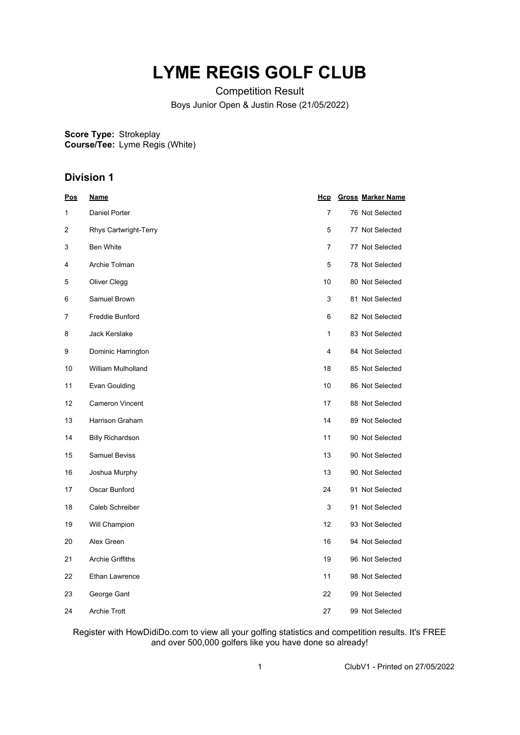## **LYME REGIS GOLF CLUB**

Competition Result Boys Junior Open & Justin Rose (21/05/2022)

**Score Type: Course/Tee:** Strokeplay Lyme Regis (White)

## **Division 1**

| <u>Pos</u> | <u>Name</u>             | <u>Hcp</u>     | <b>Gross Marker Name</b> |
|------------|-------------------------|----------------|--------------------------|
| 1          | Daniel Porter           | $\overline{7}$ | 76 Not Selected          |
| 2          | Rhys Cartwright-Terry   | 5              | 77 Not Selected          |
| 3          | Ben White               | 7              | 77 Not Selected          |
| 4          | Archie Tolman           | 5              | 78 Not Selected          |
| 5          | Oliver Clegg            | 10             | 80 Not Selected          |
| 6          | Samuel Brown            | 3              | 81 Not Selected          |
| 7          | Freddie Bunford         | 6              | 82 Not Selected          |
| 8          | <b>Jack Kerslake</b>    | 1              | 83 Not Selected          |
| 9          | Dominic Harrington      | 4              | 84 Not Selected          |
| 10         | William Mulholland      | 18             | 85 Not Selected          |
| 11         | Evan Goulding           | 10             | 86 Not Selected          |
| 12         | <b>Cameron Vincent</b>  | 17             | 88 Not Selected          |
| 13         | Harrison Graham         | 14             | 89 Not Selected          |
| 14         | <b>Billy Richardson</b> | 11             | 90 Not Selected          |
| 15         | <b>Samuel Beviss</b>    | 13             | 90 Not Selected          |
| 16         | Joshua Murphy           | 13             | 90 Not Selected          |
| 17         | Oscar Bunford           | 24             | 91 Not Selected          |
| 18         | Caleb Schreiber         | 3              | 91 Not Selected          |
| 19         | Will Champion           | 12             | 93 Not Selected          |
| 20         | Alex Green              | 16             | 94 Not Selected          |
| 21         | <b>Archie Griffiths</b> | 19             | 96 Not Selected          |
| 22         | Ethan Lawrence          | 11             | 98 Not Selected          |
| 23         | George Gant             | 22             | 99 Not Selected          |
| 24         | <b>Archie Trott</b>     | 27             | 99 Not Selected          |

Register with HowDidiDo.com to view all your golfing statistics and competition results. It's FREE and over 500,000 golfers like you have done so already!